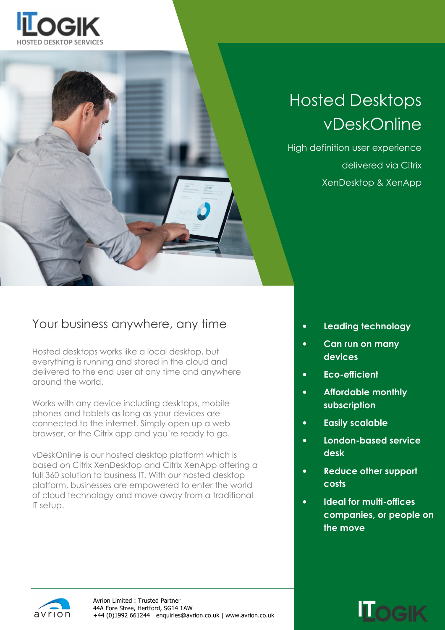



# Hosted Desktops vDeskOnline

High definition user experience delivered via Citrix XenDesktop & XenApp

### Your business anywhere, any time

Hosted desktops works like a local desktop, but everything is running and stored in the cloud and delivered to the end user at any time and anywhere around the world.

Works with any device including desktops, mobile phones and tablets as long as your devices are connected to the internet. Simply open up a web browser, or the Citrix app and you're ready to go.

vDeskOnline is our hosted desktop platform which is based on Citrix XenDesktop and Citrix XenApp offering a full 360 solution to business IT. With our hosted desktop platform, businesses are empowered to enter the world of cloud technology and move away from a traditional IT setup.

- Leading technology
- Can run on many devices
- Eco-efficient
- Affordable monthly subscription
- Easily scalable
- London-based service desk
- Reduce other support costs
- Ideal for multi-offices companies, or people on the move